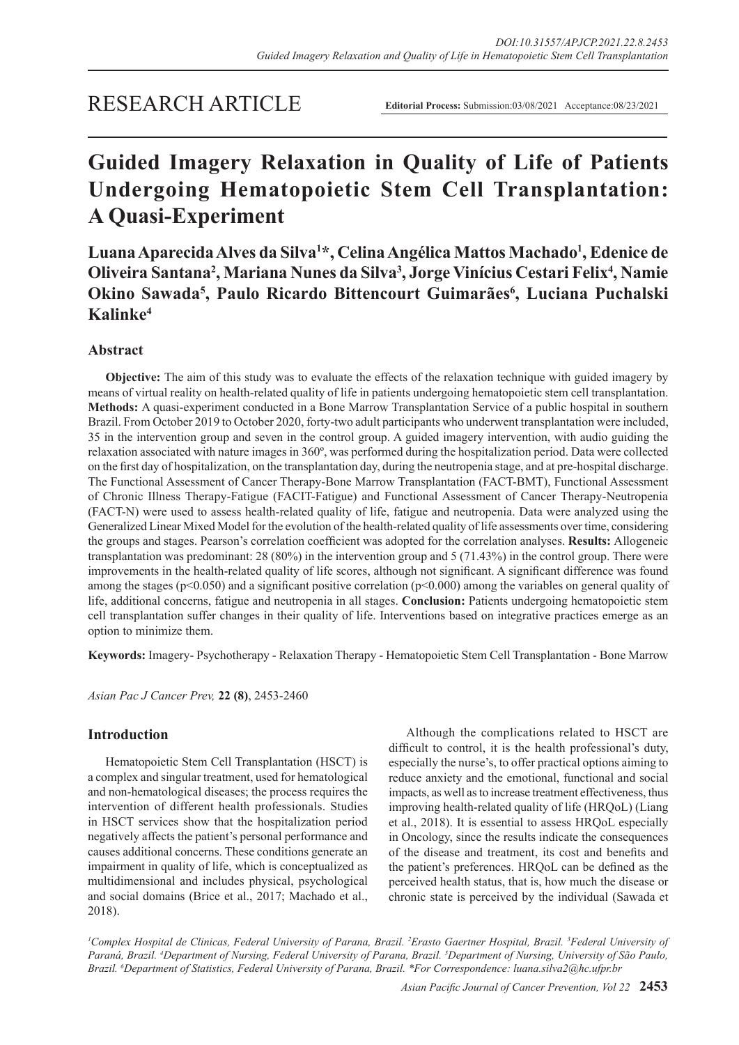# RESEARCH ARTICLE

**Editorial Process:** Submission:03/08/2021 Acceptance:08/23/2021

# **Guided Imagery Relaxation in Quality of Life of Patients Undergoing Hematopoietic Stem Cell Transplantation: A Quasi-Experiment**

**Luana Aparecida Alves da Silva1 \*, Celina Angélica Mattos Machado1 , Edenice de Oliveira Santana2 , Mariana Nunes da Silva3 , Jorge Vinícius Cestari Felix4 , Namie**  Okino Sawada<sup>5</sup>, Paulo Ricardo Bittencourt Guimarães<sup>6</sup>, Luciana Puchalski **Kalinke4**

# **Abstract**

**Objective:** The aim of this study was to evaluate the effects of the relaxation technique with guided imagery by means of virtual reality on health-related quality of life in patients undergoing hematopoietic stem cell transplantation. **Methods:** A quasi-experiment conducted in a Bone Marrow Transplantation Service of a public hospital in southern Brazil. From October 2019 to October 2020, forty-two adult participants who underwent transplantation were included, 35 in the intervention group and seven in the control group. A guided imagery intervention, with audio guiding the relaxation associated with nature images in 360º, was performed during the hospitalization period. Data were collected on the first day of hospitalization, on the transplantation day, during the neutropenia stage, and at pre-hospital discharge. The Functional Assessment of Cancer Therapy-Bone Marrow Transplantation (FACT-BMT), Functional Assessment of Chronic Illness Therapy-Fatigue (FACIT-Fatigue) and Functional Assessment of Cancer Therapy-Neutropenia (FACT-N) were used to assess health-related quality of life, fatigue and neutropenia. Data were analyzed using the Generalized Linear Mixed Model for the evolution of the health-related quality of life assessments over time, considering the groups and stages. Pearson's correlation coefficient was adopted for the correlation analyses. **Results:** Allogeneic transplantation was predominant: 28 (80%) in the intervention group and 5 (71.43%) in the control group. There were improvements in the health-related quality of life scores, although not significant. A significant difference was found among the stages ( $p<0.050$ ) and a significant positive correlation ( $p<0.000$ ) among the variables on general quality of life, additional concerns, fatigue and neutropenia in all stages. **Conclusion:** Patients undergoing hematopoietic stem cell transplantation suffer changes in their quality of life. Interventions based on integrative practices emerge as an option to minimize them.

**Keywords:** Imagery- Psychotherapy - Relaxation Therapy - Hematopoietic Stem Cell Transplantation - Bone Marrow

*Asian Pac J Cancer Prev,* **22 (8)**, 2453-2460

# **Introduction**

Hematopoietic Stem Cell Transplantation (HSCT) is a complex and singular treatment, used for hematological and non-hematological diseases; the process requires the intervention of different health professionals. Studies in HSCT services show that the hospitalization period negatively affects the patient's personal performance and causes additional concerns. These conditions generate an impairment in quality of life, which is conceptualized as multidimensional and includes physical, psychological and social domains (Brice et al., 2017; Machado et al., 2018).

Although the complications related to HSCT are difficult to control, it is the health professional's duty, especially the nurse's, to offer practical options aiming to reduce anxiety and the emotional, functional and social impacts, as well as to increase treatment effectiveness, thus improving health-related quality of life (HRQoL) (Liang et al., 2018). It is essential to assess HRQoL especially in Oncology, since the results indicate the consequences of the disease and treatment, its cost and benefits and the patient's preferences. HRQoL can be defined as the perceived health status, that is, how much the disease or chronic state is perceived by the individual (Sawada et

<sup>1</sup>Complex Hospital de Clinicas, Federal University of Parana, Brazil. <sup>2</sup>Erasto Gaertner Hospital, Brazil. <sup>3</sup>Federal University of *Paraná, Brazil. 4 Department of Nursing, Federal University of Parana, Brazil. 5 Department of Nursing, University of São Paulo, Brazil. 6 Department of Statistics, Federal University of Parana, Brazil. \*For Correspondence: luana.silva2@hc.ufpr.br*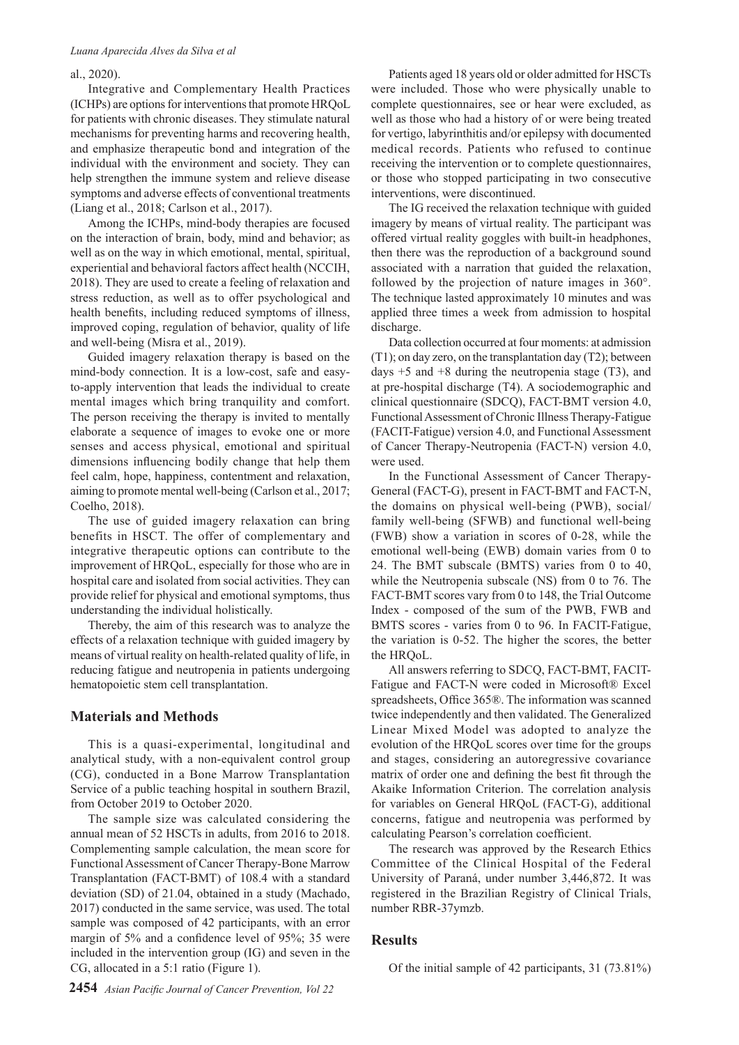#### al., 2020).

Integrative and Complementary Health Practices (ICHPs) are options for interventions that promote HRQoL for patients with chronic diseases. They stimulate natural mechanisms for preventing harms and recovering health, and emphasize therapeutic bond and integration of the individual with the environment and society. They can help strengthen the immune system and relieve disease symptoms and adverse effects of conventional treatments (Liang et al., 2018; Carlson et al., 2017).

Among the ICHPs, mind-body therapies are focused on the interaction of brain, body, mind and behavior; as well as on the way in which emotional, mental, spiritual, experiential and behavioral factors affect health (NCCIH, 2018). They are used to create a feeling of relaxation and stress reduction, as well as to offer psychological and health benefits, including reduced symptoms of illness, improved coping, regulation of behavior, quality of life and well-being (Misra et al., 2019).

Guided imagery relaxation therapy is based on the mind-body connection. It is a low-cost, safe and easyto-apply intervention that leads the individual to create mental images which bring tranquility and comfort. The person receiving the therapy is invited to mentally elaborate a sequence of images to evoke one or more senses and access physical, emotional and spiritual dimensions influencing bodily change that help them feel calm, hope, happiness, contentment and relaxation, aiming to promote mental well-being (Carlson et al., 2017; Coelho, 2018).

The use of guided imagery relaxation can bring benefits in HSCT. The offer of complementary and integrative therapeutic options can contribute to the improvement of HRQoL, especially for those who are in hospital care and isolated from social activities. They can provide relief for physical and emotional symptoms, thus understanding the individual holistically.

Thereby, the aim of this research was to analyze the effects of a relaxation technique with guided imagery by means of virtual reality on health-related quality of life, in reducing fatigue and neutropenia in patients undergoing hematopoietic stem cell transplantation.

#### **Materials and Methods**

This is a quasi-experimental, longitudinal and analytical study, with a non-equivalent control group (CG), conducted in a Bone Marrow Transplantation Service of a public teaching hospital in southern Brazil, from October 2019 to October 2020.

The sample size was calculated considering the annual mean of 52 HSCTs in adults, from 2016 to 2018. Complementing sample calculation, the mean score for Functional Assessment of Cancer Therapy-Bone Marrow Transplantation (FACT-BMT) of 108.4 with a standard deviation (SD) of 21.04, obtained in a study (Machado, 2017) conducted in the same service, was used. The total sample was composed of 42 participants, with an error margin of 5% and a confidence level of 95%; 35 were included in the intervention group (IG) and seven in the CG, allocated in a 5:1 ratio (Figure 1).

Patients aged 18 years old or older admitted for HSCTs were included. Those who were physically unable to complete questionnaires, see or hear were excluded, as well as those who had a history of or were being treated for vertigo, labyrinthitis and/or epilepsy with documented medical records. Patients who refused to continue receiving the intervention or to complete questionnaires, or those who stopped participating in two consecutive interventions, were discontinued.

The IG received the relaxation technique with guided imagery by means of virtual reality. The participant was offered virtual reality goggles with built-in headphones, then there was the reproduction of a background sound associated with a narration that guided the relaxation, followed by the projection of nature images in 360°. The technique lasted approximately 10 minutes and was applied three times a week from admission to hospital discharge.

Data collection occurred at four moments: at admission (T1); on day zero, on the transplantation day (T2); between days  $+5$  and  $+8$  during the neutropenia stage (T3), and at pre-hospital discharge (T4). A sociodemographic and clinical questionnaire (SDCQ), FACT-BMT version 4.0, Functional Assessment of Chronic Illness Therapy-Fatigue (FACIT-Fatigue) version 4.0, and Functional Assessment of Cancer Therapy-Neutropenia (FACT-N) version 4.0, were used.

In the Functional Assessment of Cancer Therapy-General (FACT-G), present in FACT-BMT and FACT-N, the domains on physical well-being (PWB), social/ family well-being (SFWB) and functional well-being (FWB) show a variation in scores of 0-28, while the emotional well-being (EWB) domain varies from 0 to 24. The BMT subscale (BMTS) varies from 0 to 40, while the Neutropenia subscale (NS) from 0 to 76. The FACT-BMT scores vary from 0 to 148, the Trial Outcome Index - composed of the sum of the PWB, FWB and BMTS scores - varies from 0 to 96. In FACIT-Fatigue, the variation is 0-52. The higher the scores, the better the HRQoL.

All answers referring to SDCQ, FACT-BMT, FACIT-Fatigue and FACT-N were coded in Microsoft® Excel spreadsheets, Office 365®. The information was scanned twice independently and then validated. The Generalized Linear Mixed Model was adopted to analyze the evolution of the HRQoL scores over time for the groups and stages, considering an autoregressive covariance matrix of order one and defining the best fit through the Akaike Information Criterion. The correlation analysis for variables on General HRQoL (FACT-G), additional concerns, fatigue and neutropenia was performed by calculating Pearson's correlation coefficient.

The research was approved by the Research Ethics Committee of the Clinical Hospital of the Federal University of Paraná, under number 3,446,872. It was registered in the Brazilian Registry of Clinical Trials, number RBR-37ymzb.

#### **Results**

Of the initial sample of 42 participants, 31 (73.81%)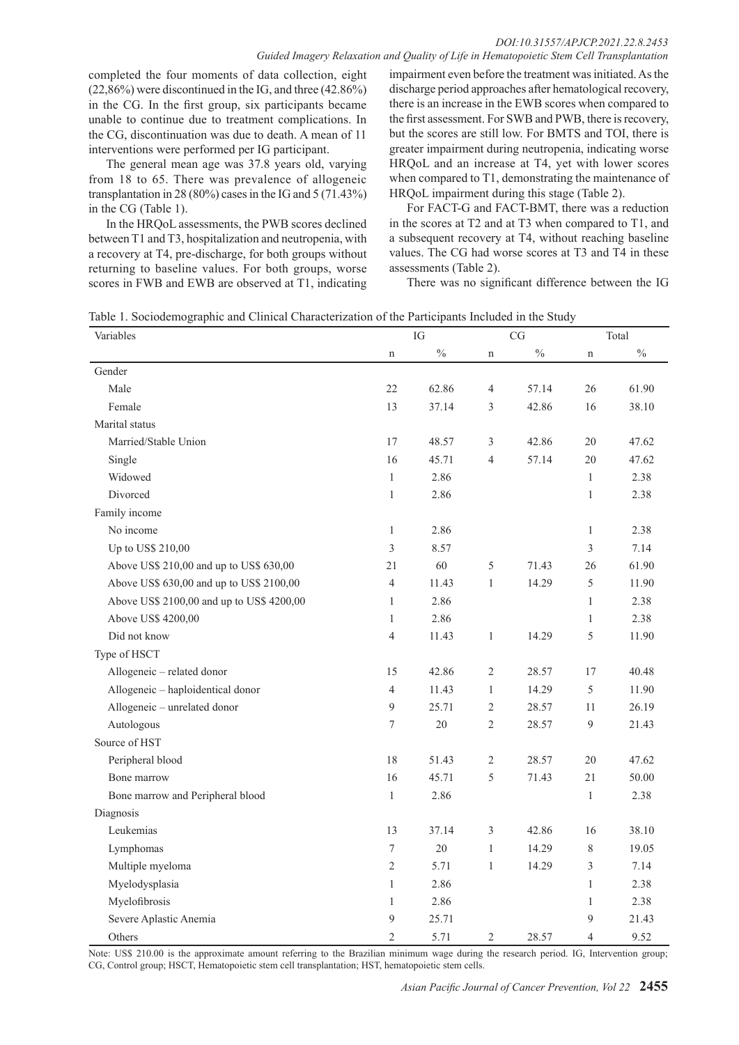#### *DOI:10.31557/APJCP.2021.22.8.2453 Guided Imagery Relaxation and Quality of Life in Hematopoietic Stem Cell Transplantation*

completed the four moments of data collection, eight (22,86%) were discontinued in the IG, and three (42.86%) in the CG. In the first group, six participants became unable to continue due to treatment complications. In the CG, discontinuation was due to death. A mean of 11 interventions were performed per IG participant.

The general mean age was 37.8 years old, varying from 18 to 65. There was prevalence of allogeneic transplantation in 28 (80%) cases in the IG and 5 (71.43%) in the CG (Table 1).

In the HRQoL assessments, the PWB scores declined between T1 and T3, hospitalization and neutropenia, with a recovery at T4, pre-discharge, for both groups without returning to baseline values. For both groups, worse scores in FWB and EWB are observed at T1, indicating

impairment even before the treatment was initiated. As the discharge period approaches after hematological recovery, there is an increase in the EWB scores when compared to the first assessment. For SWB and PWB, there is recovery, but the scores are still low. For BMTS and TOI, there is greater impairment during neutropenia, indicating worse HRQoL and an increase at T4, yet with lower scores when compared to T1, demonstrating the maintenance of HRQoL impairment during this stage (Table 2).

For FACT-G and FACT-BMT, there was a reduction in the scores at T2 and at T3 when compared to T1, and a subsequent recovery at T4, without reaching baseline values. The CG had worse scores at T3 and T4 in these assessments (Table 2).

There was no significant difference between the IG

Table 1. Sociodemographic and Clinical Characterization of the Participants Included in the Study

| Variables                                 |                | IG            |                | CG    |                | Total         |
|-------------------------------------------|----------------|---------------|----------------|-------|----------------|---------------|
|                                           | n              | $\frac{0}{0}$ | n              | $\%$  | $\mathbf n$    | $\frac{0}{0}$ |
| Gender                                    |                |               |                |       |                |               |
| Male                                      | 22             | 62.86         | 4              | 57.14 | 26             | 61.90         |
| Female                                    | 13             | 37.14         | 3              | 42.86 | 16             | 38.10         |
| Marital status                            |                |               |                |       |                |               |
| Married/Stable Union                      | 17             | 48.57         | 3              | 42.86 | 20             | 47.62         |
| Single                                    | 16             | 45.71         | $\overline{4}$ | 57.14 | 20             | 47.62         |
| Widowed                                   | $\mathbf{1}$   | 2.86          |                |       | $\mathbf{1}$   | 2.38          |
| Divorced                                  | $\mathbf{1}$   | 2.86          |                |       | $\mathbf{1}$   | 2.38          |
| Family income                             |                |               |                |       |                |               |
| No income                                 | 1              | 2.86          |                |       | 1              | 2.38          |
| Up to US\$ 210,00                         | 3              | 8.57          |                |       | 3              | 7.14          |
| Above US\$ 210,00 and up to US\$ 630,00   | 21             | 60            | 5              | 71.43 | 26             | 61.90         |
| Above US\$ 630,00 and up to US\$ 2100,00  | 4              | 11.43         | 1              | 14.29 | 5              | 11.90         |
| Above US\$ 2100,00 and up to US\$ 4200,00 | $\mathbf{1}$   | 2.86          |                |       | $\mathbf{1}$   | 2.38          |
| Above US\$ 4200,00                        | $\mathbf{1}$   | 2.86          |                |       | 1              | 2.38          |
| Did not know                              | $\overline{4}$ | 11.43         | $\mathbf{1}$   | 14.29 | 5              | 11.90         |
| Type of HSCT                              |                |               |                |       |                |               |
| Allogeneic - related donor                | 15             | 42.86         | $\sqrt{2}$     | 28.57 | 17             | 40.48         |
| Allogeneic - haploidentical donor         | $\overline{4}$ | 11.43         | $\mathbf{1}$   | 14.29 | 5              | 11.90         |
| Allogeneic - unrelated donor              | 9              | 25.71         | $\overline{c}$ | 28.57 | 11             | 26.19         |
| Autologous                                | 7              | 20            | $\overline{2}$ | 28.57 | 9              | 21.43         |
| Source of HST                             |                |               |                |       |                |               |
| Peripheral blood                          | 18             | 51.43         | $\sqrt{2}$     | 28.57 | 20             | 47.62         |
| Bone marrow                               | 16             | 45.71         | 5              | 71.43 | 21             | 50.00         |
| Bone marrow and Peripheral blood          | $\mathbf{1}$   | 2.86          |                |       | $\mathbf{1}$   | 2.38          |
| Diagnosis                                 |                |               |                |       |                |               |
| Leukemias                                 | 13             | 37.14         | 3              | 42.86 | 16             | 38.10         |
| Lymphomas                                 | $\tau$         | 20            | $\mathbf{1}$   | 14.29 | $\,8\,$        | 19.05         |
| Multiple myeloma                          | $\overline{2}$ | 5.71          | $\mathbf{1}$   | 14.29 | 3              | 7.14          |
| Myelodysplasia                            | $\,1$          | 2.86          |                |       | $\mathbf{1}$   | 2.38          |
| Myelofibrosis                             | $\mathbf{1}$   | 2.86          |                |       | $\mathbf{1}$   | 2.38          |
| Severe Aplastic Anemia                    | 9              | 25.71         |                |       | $\overline{9}$ | 21.43         |
| Others                                    | $\overline{2}$ | 5.71          | $\sqrt{2}$     | 28.57 | $\overline{4}$ | 9.52          |

Note: US\$ 210.00 is the approximate amount referring to the Brazilian minimum wage during the research period. IG, Intervention group; CG, Control group; HSCT, Hematopoietic stem cell transplantation; HST, hematopoietic stem cells.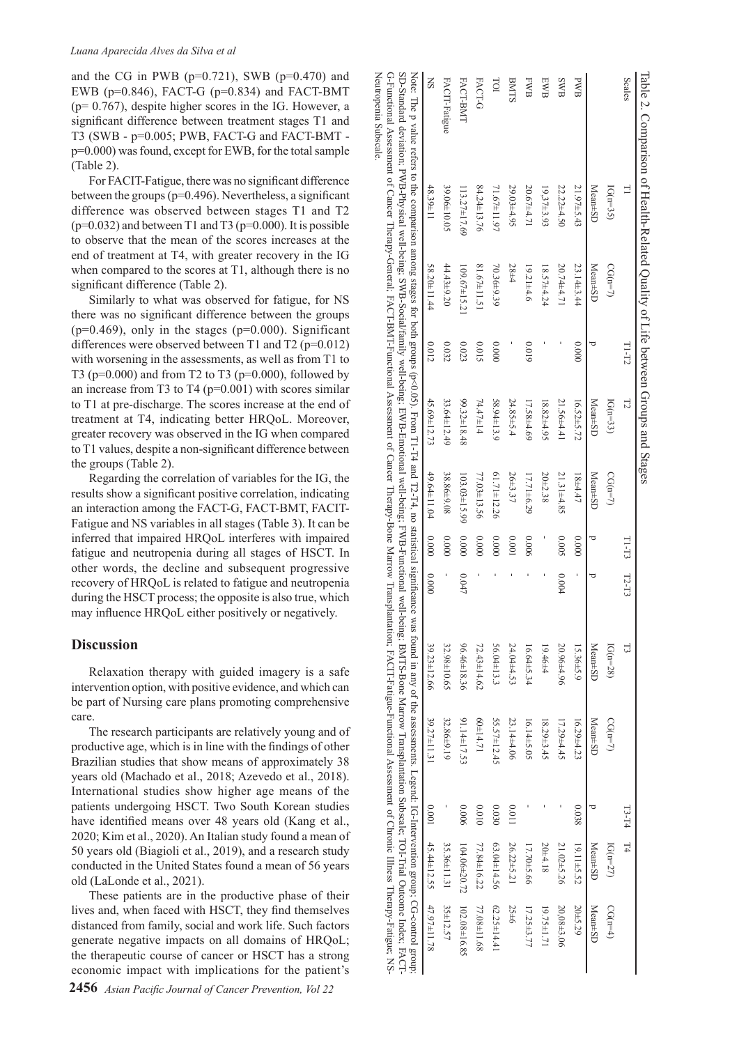and the CG in PWB ( $p=0.721$ ), SWB ( $p=0.470$ ) and EWB ( $p=0.846$ ), FACT-G ( $p=0.834$ ) and FACT-BMT (p= 0.767), despite higher scores in the IG. However, a significant difference between treatment stages T1 and T3 (SWB - p=0.005; PWB, FACT-G and FACT-BMT p=0.000) was found, except for EWB, for the total sample (Table 2).

Neutropenia Subscale.

G-Functional Assessment<br>Neutropenia Subscale.

of Cancer Therapy-General; FACT-BMT-Functional Assessment of Cancer Therapy-Bone Marrow Transplantation; FACIT-Fatigue-Functional Assessment of Chronic Illness Therapy-Fatigue;

For FACIT-Fatigue, there was no significant difference between the groups (p=0.496). Nevertheless, a significant difference was observed between stages T1 and T2  $(p=0.032)$  and between T1 and T3 ( $p=0.000$ ). It is possible to observe that the mean of the scores increases at the end of treatment at T4, with greater recovery in the IG when compared to the scores at T1, although there is no significant difference (Table 2).

Similarly to what was observed for fatigue, for NS there was no significant difference between the groups  $(p=0.469)$ , only in the stages  $(p=0.000)$ . Significant differences were observed between T1 and T2 ( $p=0.012$ ) with worsening in the assessments, as well as from T1 to T3 ( $p=0.000$ ) and from T2 to T3 ( $p=0.000$ ), followed by an increase from T3 to T4 ( $p=0.001$ ) with scores similar to T1 at pre-discharge. The scores increase at the end of treatment at T4, indicating better HRQoL. Moreover, greater recovery was observed in the IG when compared to T1 values, despite a non-significant difference between the groups (Table 2).

Regarding the correlation of variables for the IG, the results show a significant positive correlation, indicating an interaction among the FACT-G, FACT-BMT, FACIT-Fatigue and NS variables in all stages (Table 3). It can be inferred that impaired HRQoL interferes with impaired fatigue and neutropenia during all stages of HSCT. In other words, the decline and subsequent progressive recovery of HRQoL is related to fatigue and neutropenia during the HSCT process; the opposite is also true, which may influence HRQoL either positively or negatively.

### **Discussion**

Relaxation therapy with guided imagery is a safe intervention option, with positive evidence, and which can be part of Nursing care plans promoting comprehensive care.

The research participants are relatively young and of productive age, which is in line with the findings of other Brazilian studies that show means of approximately 38 years old (Machado et al., 2018; Azevedo et al., 2018). International studies show higher age means of the patients undergoing HSCT. Two South Korean studies have identified means over 48 years old (Kang et al., 2020; Kim et al., 2020). An Italian study found a mean of 50 years old (Biagioli et al., 2019), and a research study conducted in the United States found a mean of 56 years old (LaLonde et al., 2021).

These patients are in the productive phase of their lives and, when faced with HSCT, they find themselves distanced from family, social and work life. Such factors generate negative impacts on all domains of HRQoL; the therapeutic course of cancer or HSCT has a strong economic impact with implications for the patient's

| Table 2. Comparison of Health-Related Quality of Life between Groups and Stages                                                                                                                                                                                                                                                                                                                                                                             |                    |                 |        |             |                  |         |         |                   |                  |           |                    |              |
|-------------------------------------------------------------------------------------------------------------------------------------------------------------------------------------------------------------------------------------------------------------------------------------------------------------------------------------------------------------------------------------------------------------------------------------------------------------|--------------------|-----------------|--------|-------------|------------------|---------|---------|-------------------|------------------|-----------|--------------------|--------------|
| Scales                                                                                                                                                                                                                                                                                                                                                                                                                                                      | $\exists$          |                 | T1-T2  | $\Gamma$    |                  | TI-T3   | $12-13$ | 님                 |                  | $13 - 14$ |                    |              |
|                                                                                                                                                                                                                                                                                                                                                                                                                                                             | $IG(n=35)$         | $CG(n=7)$       |        | $IG(n=33)$  | $CG(n=7)$        |         |         | $IG(n=28)$        | $CG(n=7)$        |           | $IG(n=27)$         | $CG(n=4)$    |
|                                                                                                                                                                                                                                                                                                                                                                                                                                                             | Mean±SD            | Mean±SD         | ರ      | Mean±SD     | Mean±SD          | ₫       |         | Mean±SD           | Mean±SD          |           | Mean±SD            | Mean±SD      |
| <b>BWB</b>                                                                                                                                                                                                                                                                                                                                                                                                                                                  | 21.97±5.43         | 23.14±3.44      | 0.0000 | 16.52±5.72  | $18 + 4.47$      | 0.0000  | ı       | 15.36±5.9         | $16.29 \pm 4.23$ | 0.038     | 19.11±5.52         | 20±5.29      |
| <b>SWB</b>                                                                                                                                                                                                                                                                                                                                                                                                                                                  | 22.22±4.50         | 20.74±4.71      |        | 21.56±4.41  | 21.31±4.85       | 5000    | 0.004   | 20.96±4.96        | 17.29±4.45       |           | 21.02±5.26         | 20,08±3.06   |
| <b>EWB</b>                                                                                                                                                                                                                                                                                                                                                                                                                                                  | $19,37\pm3.93$     | 18.57±4.24      |        | 18.82±4.95  | $20\pm2.38$      |         |         | 19.46±4           | $18.29 \pm 3.45$ |           | 20±4.18            | 19.75±1.71   |
| <b>FWB</b>                                                                                                                                                                                                                                                                                                                                                                                                                                                  | 20.67±4.71         | $19.21 \pm 4.6$ | 6100   | 17.58±4.69  | $17.71 \pm 6.29$ | 9000    |         | 16.64±5.34        | 16.14±5.05       |           | 17.70±5.66         | 17.25±3.77   |
| BNTS                                                                                                                                                                                                                                                                                                                                                                                                                                                        | 29.03±4.95         | 28±4            |        | 24.85±5.4   | 26±3.37          | 100.001 |         | 24.04±4.53        | 23.14±4.06       | 1100      | 26.22±5.21         | 25±6         |
| m                                                                                                                                                                                                                                                                                                                                                                                                                                                           | 71.67±11.97        | $70.36\pm9.39$  | 0.0000 | 58.94±13.9  | 61.71±12.26      | 0.0000  |         | 56.04±13.3        | 55.57±12.45      | 06030     | 63.04±14.56        | 62.25±14.41  |
| <b>FACT-G</b>                                                                                                                                                                                                                                                                                                                                                                                                                                               | 84.24±13.76        | 81.67±11.51     | 0.015  | 74.47±14    | 77.03±13.56      | 00000   |         | $72.43 \pm 14.62$ | 17.14.71         | 0100      | 77.84±16.22        | 77.08±11.68  |
| FACT-BMT                                                                                                                                                                                                                                                                                                                                                                                                                                                    | $113.27 \pm 17.69$ | 109.67±15.21    | 0.023  | 99.32±18.48 | 103.03±15.99     | 0.0000  | 0.047   | 96.46±18.36       | 91.14±17.53      | 900'0     | $104.06 \pm 20.72$ | 102.08±16.85 |
| FACIT-Fatigue                                                                                                                                                                                                                                                                                                                                                                                                                                               | 39.06±10.05        | 44.43±9.20      | 0.032  | 33.64±12.49 | 38.86±9.08       | 0.0000  |         | 32.98±10.65       | 32.86±9.19       |           | 35.36±11.31        | 35±12.57     |
| $_{\rm SN}$                                                                                                                                                                                                                                                                                                                                                                                                                                                 | $48.39 \pm 11$     | 58.20±11.44     | 0.012  | 45.69±12.73 | 49.64±11.04      | 00000   | 00000   | 39.23±12.66       | 39.27±11.31      | 1000      | 45.44±12.55        | 47.97±11.78  |
| SD-Standard deviationg; SWB-Social well-being; SWB-Social well-being; EWB-Functional well-being; EWB-Functional well-being; SWB-Social SDMTS-Brottonal well-being; SWB-Punctional well-being; SWB-Social SDMTS-Brottonal well-<br>Note: The p value refers to the comparison among stages for both groups (p<0.05). From T1-T4 and T2-T4, no statistical significance was found in any of the assessments. Legend: IG-Intervention group; CG-control group; |                    |                 |        |             |                  |         |         |                   |                  |           |                    |              |
| G-Functional Assessment of Cancer Therapy-General, FACT-BMT-Functional Assessment of Cancer Therapy-Bone Marrow Transplantation; FACIT-Fatigue-Functional Assessment of Chronic Illness Therapy-General, FACT-Punctional Asses                                                                                                                                                                                                                              |                    |                 |        |             |                  |         |         |                   |                  |           |                    |              |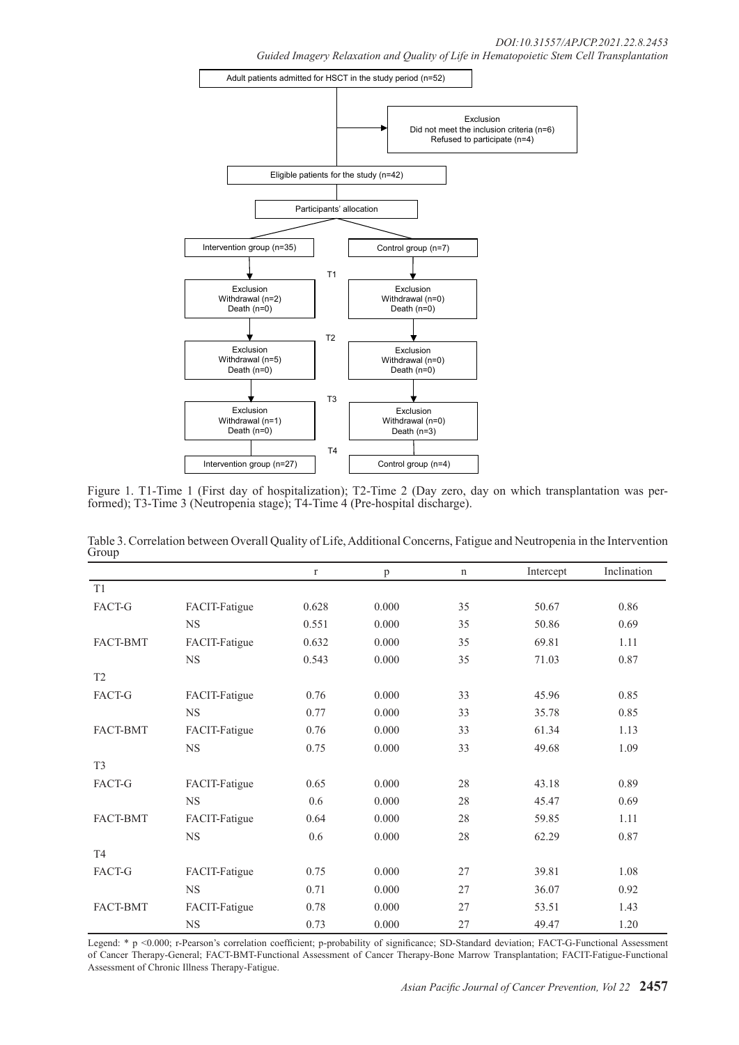

Figure 1. T1-Time 1 (First day of hospitalization); T2-Time 2 (Day zero, day on which transplantation was per- formed); T3-Time 3 (Neutropenia stage); T4-Time 4 (Pre-hospital discharge).

| Group           |               |          |       |             |           |             |
|-----------------|---------------|----------|-------|-------------|-----------|-------------|
|                 |               | $\Gamma$ | p     | $\mathbf n$ | Intercept | Inclination |
| T1              |               |          |       |             |           |             |
| FACT-G          | FACIT-Fatigue | 0.628    | 0.000 | 35          | 50.67     | 0.86        |
|                 | $_{\rm NS}$   | 0.551    | 0.000 | 35          | 50.86     | 0.69        |
| FACT-BMT        | FACIT-Fatigue | 0.632    | 0.000 | 35          | 69.81     | 1.11        |
|                 | <b>NS</b>     | 0.543    | 0.000 | 35          | 71.03     | 0.87        |
| T <sub>2</sub>  |               |          |       |             |           |             |
| FACT-G          | FACIT-Fatigue | 0.76     | 0.000 | 33          | 45.96     | 0.85        |
|                 | $_{\rm NS}$   | 0.77     | 0.000 | 33          | 35.78     | 0.85        |
| <b>FACT-BMT</b> | FACIT-Fatigue | 0.76     | 0.000 | 33          | 61.34     | 1.13        |
|                 | $_{\rm NS}$   | 0.75     | 0.000 | 33          | 49.68     | 1.09        |
| T <sub>3</sub>  |               |          |       |             |           |             |
| FACT-G          | FACIT-Fatigue | 0.65     | 0.000 | 28          | 43.18     | 0.89        |
|                 | $_{\rm NS}$   | 0.6      | 0.000 | 28          | 45.47     | 0.69        |
| <b>FACT-BMT</b> | FACIT-Fatigue | 0.64     | 0.000 | 28          | 59.85     | 1.11        |
|                 | $_{\rm NS}$   | 0.6      | 0.000 | 28          | 62.29     | 0.87        |
| T <sub>4</sub>  |               |          |       |             |           |             |
| <b>FACT-G</b>   | FACIT-Fatigue | 0.75     | 0.000 | 27          | 39.81     | 1.08        |

Table 3. Correlation between Overall Quality of Life, Additional Concerns, Fatigue and Neutropenia in the Intervention Group

Legend: \* p <0.000; r-Pearson's correlation coefficient; p-probability of significance; SD-Standard deviation; FACT-G-Functional Assessment of Cancer Therapy-General; FACT-BMT-Functional Assessment of Cancer Therapy-Bone Marrow Transplantation; FACIT-Fatigue-Functional Assessment of Chronic Illness Therapy-Fatigue.

FACT-BMT FACIT-Fatigue 0.78 0.000 27 53.51 1.43

NS 0.71 0.000 27 36.07 0.92

NS 0.73 0.000 27 49.47 1.20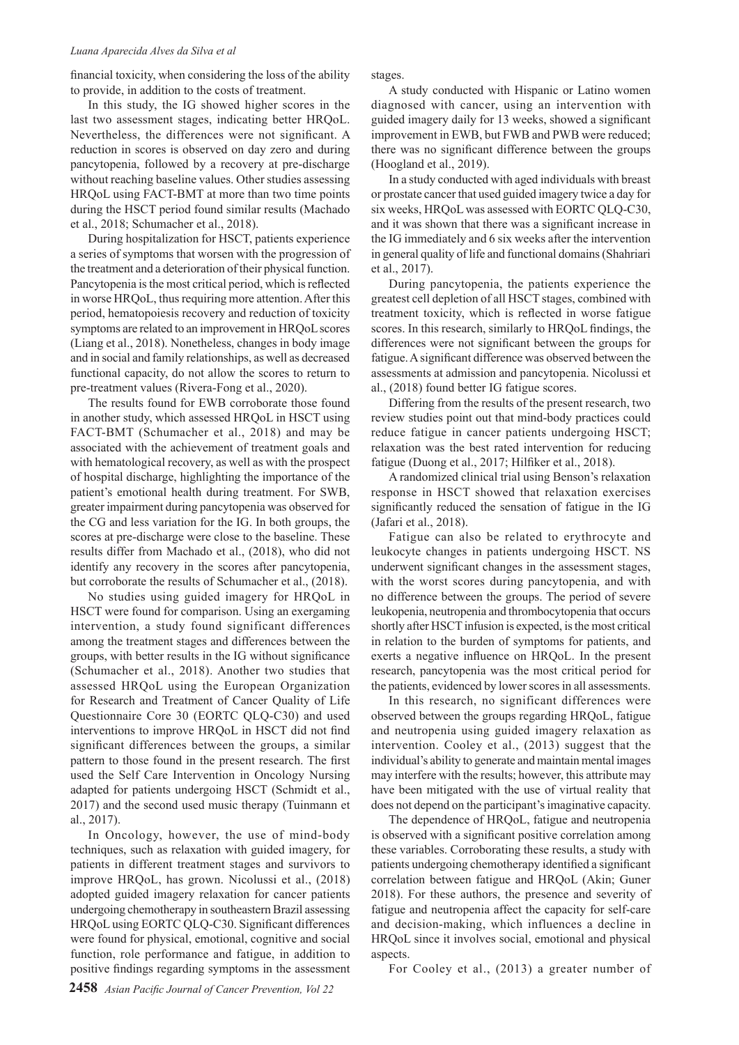#### *Luana Aparecida Alves da Silva et al*

financial toxicity, when considering the loss of the ability to provide, in addition to the costs of treatment.

In this study, the IG showed higher scores in the last two assessment stages, indicating better HRQoL. Nevertheless, the differences were not significant. A reduction in scores is observed on day zero and during pancytopenia, followed by a recovery at pre-discharge without reaching baseline values. Other studies assessing HRQoL using FACT-BMT at more than two time points during the HSCT period found similar results (Machado et al., 2018; Schumacher et al., 2018).

During hospitalization for HSCT, patients experience a series of symptoms that worsen with the progression of the treatment and a deterioration of their physical function. Pancytopenia is the most critical period, which is reflected in worse HRQoL, thus requiring more attention. After this period, hematopoiesis recovery and reduction of toxicity symptoms are related to an improvement in HRQoL scores (Liang et al., 2018). Nonetheless, changes in body image and in social and family relationships, as well as decreased functional capacity, do not allow the scores to return to pre-treatment values (Rivera-Fong et al., 2020).

The results found for EWB corroborate those found in another study, which assessed HRQoL in HSCT using FACT-BMT (Schumacher et al., 2018) and may be associated with the achievement of treatment goals and with hematological recovery, as well as with the prospect of hospital discharge, highlighting the importance of the patient's emotional health during treatment. For SWB, greater impairment during pancytopenia was observed for the CG and less variation for the IG. In both groups, the scores at pre-discharge were close to the baseline. These results differ from Machado et al., (2018), who did not identify any recovery in the scores after pancytopenia, but corroborate the results of Schumacher et al., (2018).

No studies using guided imagery for HRQoL in HSCT were found for comparison. Using an exergaming intervention, a study found significant differences among the treatment stages and differences between the groups, with better results in the IG without significance (Schumacher et al., 2018). Another two studies that assessed HRQoL using the European Organization for Research and Treatment of Cancer Quality of Life Questionnaire Core 30 (EORTC QLQ-C30) and used interventions to improve HRQoL in HSCT did not find significant differences between the groups, a similar pattern to those found in the present research. The first used the Self Care Intervention in Oncology Nursing adapted for patients undergoing HSCT (Schmidt et al., 2017) and the second used music therapy (Tuinmann et al., 2017).

In Oncology, however, the use of mind-body techniques, such as relaxation with guided imagery, for patients in different treatment stages and survivors to improve HRQoL, has grown. Nicolussi et al., (2018) adopted guided imagery relaxation for cancer patients undergoing chemotherapy in southeastern Brazil assessing HRQoL using EORTC QLQ-C30. Significant differences were found for physical, emotional, cognitive and social function, role performance and fatigue, in addition to positive findings regarding symptoms in the assessment

stages.

A study conducted with Hispanic or Latino women diagnosed with cancer, using an intervention with guided imagery daily for 13 weeks, showed a significant improvement in EWB, but FWB and PWB were reduced; there was no significant difference between the groups (Hoogland et al., 2019).

In a study conducted with aged individuals with breast or prostate cancer that used guided imagery twice a day for six weeks, HRQoL was assessed with EORTC QLQ-C30, and it was shown that there was a significant increase in the IG immediately and 6 six weeks after the intervention in general quality of life and functional domains (Shahriari et al., 2017).

During pancytopenia, the patients experience the greatest cell depletion of all HSCT stages, combined with treatment toxicity, which is reflected in worse fatigue scores. In this research, similarly to HRQoL findings, the differences were not significant between the groups for fatigue. A significant difference was observed between the assessments at admission and pancytopenia. Nicolussi et al., (2018) found better IG fatigue scores.

Differing from the results of the present research, two review studies point out that mind-body practices could reduce fatigue in cancer patients undergoing HSCT; relaxation was the best rated intervention for reducing fatigue (Duong et al., 2017; Hilfiker et al., 2018).

A randomized clinical trial using Benson's relaxation response in HSCT showed that relaxation exercises significantly reduced the sensation of fatigue in the IG (Jafari et al., 2018).

Fatigue can also be related to erythrocyte and leukocyte changes in patients undergoing HSCT. NS underwent significant changes in the assessment stages, with the worst scores during pancytopenia, and with no difference between the groups. The period of severe leukopenia, neutropenia and thrombocytopenia that occurs shortly after HSCT infusion is expected, is the most critical in relation to the burden of symptoms for patients, and exerts a negative influence on HRQoL. In the present research, pancytopenia was the most critical period for the patients, evidenced by lower scores in all assessments.

In this research, no significant differences were observed between the groups regarding HRQoL, fatigue and neutropenia using guided imagery relaxation as intervention. Cooley et al., (2013) suggest that the individual's ability to generate and maintain mental images may interfere with the results; however, this attribute may have been mitigated with the use of virtual reality that does not depend on the participant's imaginative capacity.

The dependence of HRQoL, fatigue and neutropenia is observed with a significant positive correlation among these variables. Corroborating these results, a study with patients undergoing chemotherapy identified a significant correlation between fatigue and HRQoL (Akin; Guner 2018). For these authors, the presence and severity of fatigue and neutropenia affect the capacity for self-care and decision-making, which influences a decline in HRQoL since it involves social, emotional and physical aspects.

For Cooley et al., (2013) a greater number of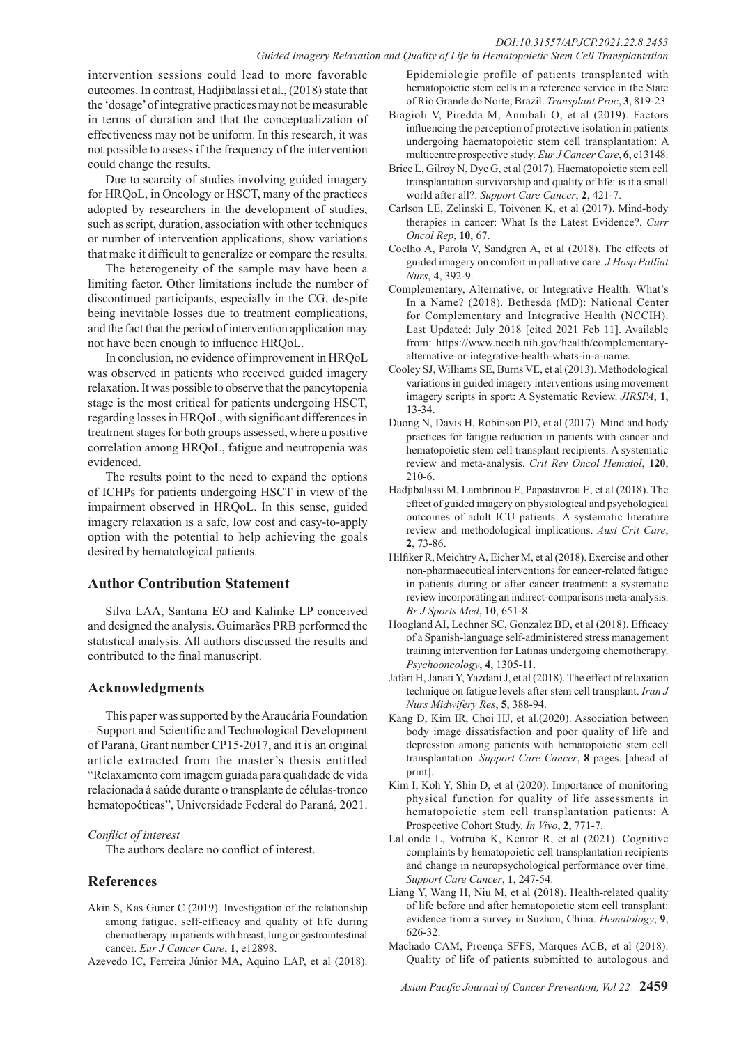# *DOI:10.31557/APJCP.2021.22.8.2453*

*Guided Imagery Relaxation and Quality of Life in Hematopoietic Stem Cell Transplantation*

intervention sessions could lead to more favorable outcomes. In contrast, Hadjibalassi et al., (2018) state that the 'dosage' of integrative practices may not be measurable in terms of duration and that the conceptualization of effectiveness may not be uniform. In this research, it was not possible to assess if the frequency of the intervention could change the results.

Due to scarcity of studies involving guided imagery for HRQoL, in Oncology or HSCT, many of the practices adopted by researchers in the development of studies, such as script, duration, association with other techniques or number of intervention applications, show variations that make it difficult to generalize or compare the results.

The heterogeneity of the sample may have been a limiting factor. Other limitations include the number of discontinued participants, especially in the CG, despite being inevitable losses due to treatment complications, and the fact that the period of intervention application may not have been enough to influence HRQoL.

In conclusion, no evidence of improvement in HRQoL was observed in patients who received guided imagery relaxation. It was possible to observe that the pancytopenia stage is the most critical for patients undergoing HSCT, regarding losses in HRQoL, with significant differences in treatment stages for both groups assessed, where a positive correlation among HRQoL, fatigue and neutropenia was evidenced.

The results point to the need to expand the options of ICHPs for patients undergoing HSCT in view of the impairment observed in HRQoL. In this sense, guided imagery relaxation is a safe, low cost and easy-to-apply option with the potential to help achieving the goals desired by hematological patients.

### **Author Contribution Statement**

Silva LAA, Santana EO and Kalinke LP conceived and designed the analysis. Guimarães PRB performed the statistical analysis. All authors discussed the results and contributed to the final manuscript.

# **Acknowledgments**

This paper was supported by the Araucária Foundation – Support and Scientific and Technological Development of Paraná, Grant number CP15-2017, and it is an original article extracted from the master's thesis entitled "Relaxamento com imagem guiada para qualidade de vida relacionada à saúde durante o transplante de células-tronco hematopoéticas", Universidade Federal do Paraná, 2021.

#### *Conflict of interest*

The authors declare no conflict of interest.

# **References**

- Akin S, Kas Guner C (2019). Investigation of the relationship among fatigue, self-efficacy and quality of life during chemotherapy in patients with breast, lung or gastrointestinal cancer. *Eur J Cancer Care*, **1**, e12898.
- Azevedo IC, Ferreira Júnior MA, Aquino LAP, et al (2018).

Epidemiologic profile of patients transplanted with hematopoietic stem cells in a reference service in the State of Rio Grande do Norte, Brazil. *Transplant Proc*, **3**, 819-23.

- Biagioli V, Piredda M, Annibali O, et al (2019). Factors influencing the perception of protective isolation in patients undergoing haematopoietic stem cell transplantation: A multicentre prospective study*. Eur J Cancer Care*, **6**, e13148.
- Brice L, Gilroy N, Dye G, et al (2017). Haematopoietic stem cell transplantation survivorship and quality of life: is it a small world after all?. *Support Care Cancer*, **2**, 421-7.
- Carlson LE, Zelinski E, Toivonen K, et al (2017). Mind-body therapies in cancer: What Is the Latest Evidence?. *Curr Oncol Rep*, **10**, 67.
- Coelho A, Parola V, Sandgren A, et al (2018). The effects of guided imagery on comfort in palliative care. *J Hosp Palliat Nurs*, **4**, 392-9.
- Complementary, Alternative, or Integrative Health: What's In a Name? (2018). Bethesda (MD): National Center for Complementary and Integrative Health (NCCIH). Last Updated: July 2018 [cited 2021 Feb 11]. Available from: https://www.nccih.nih.gov/health/complementaryalternative-or-integrative-health-whats-in-a-name.
- Cooley SJ, Williams SE, Burns VE, et al (2013). Methodological variations in guided imagery interventions using movement imagery scripts in sport: A Systematic Review. *JIRSPA*, **1**, 13-34.
- Duong N, Davis H, Robinson PD, et al (2017). Mind and body practices for fatigue reduction in patients with cancer and hematopoietic stem cell transplant recipients: A systematic review and meta-analysis. *Crit Rev Oncol Hematol*, **120**, 210-6.
- Hadjibalassi M, Lambrinou E, Papastavrou E, et al (2018). The effect of guided imagery on physiological and psychological outcomes of adult ICU patients: A systematic literature review and methodological implications. *Aust Crit Care*, **2**, 73-86.
- Hilfiker R, Meichtry A, Eicher M, et al (2018). Exercise and other non-pharmaceutical interventions for cancer-related fatigue in patients during or after cancer treatment: a systematic review incorporating an indirect-comparisons meta-analysis. *Br J Sports Med*, **10**, 651-8.
- Hoogland AI, Lechner SC, Gonzalez BD, et al (2018). Efficacy of a Spanish-language self-administered stress management training intervention for Latinas undergoing chemotherapy. *Psychooncology*, **4**, 1305-11.
- Jafari H, Janati Y, Yazdani J, et al (2018). The effect of relaxation technique on fatigue levels after stem cell transplant. *Iran J Nurs Midwifery Res*, **5**, 388-94.
- Kang D, Kim IR, Choi HJ, et al.(2020). Association between body image dissatisfaction and poor quality of life and depression among patients with hematopoietic stem cell transplantation. *Support Care Cancer*, **8** pages. [ahead of print].
- Kim I, Koh Y, Shin D, et al (2020). Importance of monitoring physical function for quality of life assessments in hematopoietic stem cell transplantation patients: A Prospective Cohort Study. *In Vivo*, **2**, 771-7.
- LaLonde L, Votruba K, Kentor R, et al (2021). Cognitive complaints by hematopoietic cell transplantation recipients and change in neuropsychological performance over time. *Support Care Cancer*, **1**, 247-54.
- Liang Y, Wang H, Niu M, et al (2018). Health-related quality of life before and after hematopoietic stem cell transplant: evidence from a survey in Suzhou, China. *Hematology*, **9**, 626-32.
- Machado CAM, Proença SFFS, Marques ACB, et al (2018). Quality of life of patients submitted to autologous and

*Asian Pacific Journal of Cancer Prevention, Vol 22* **2459**